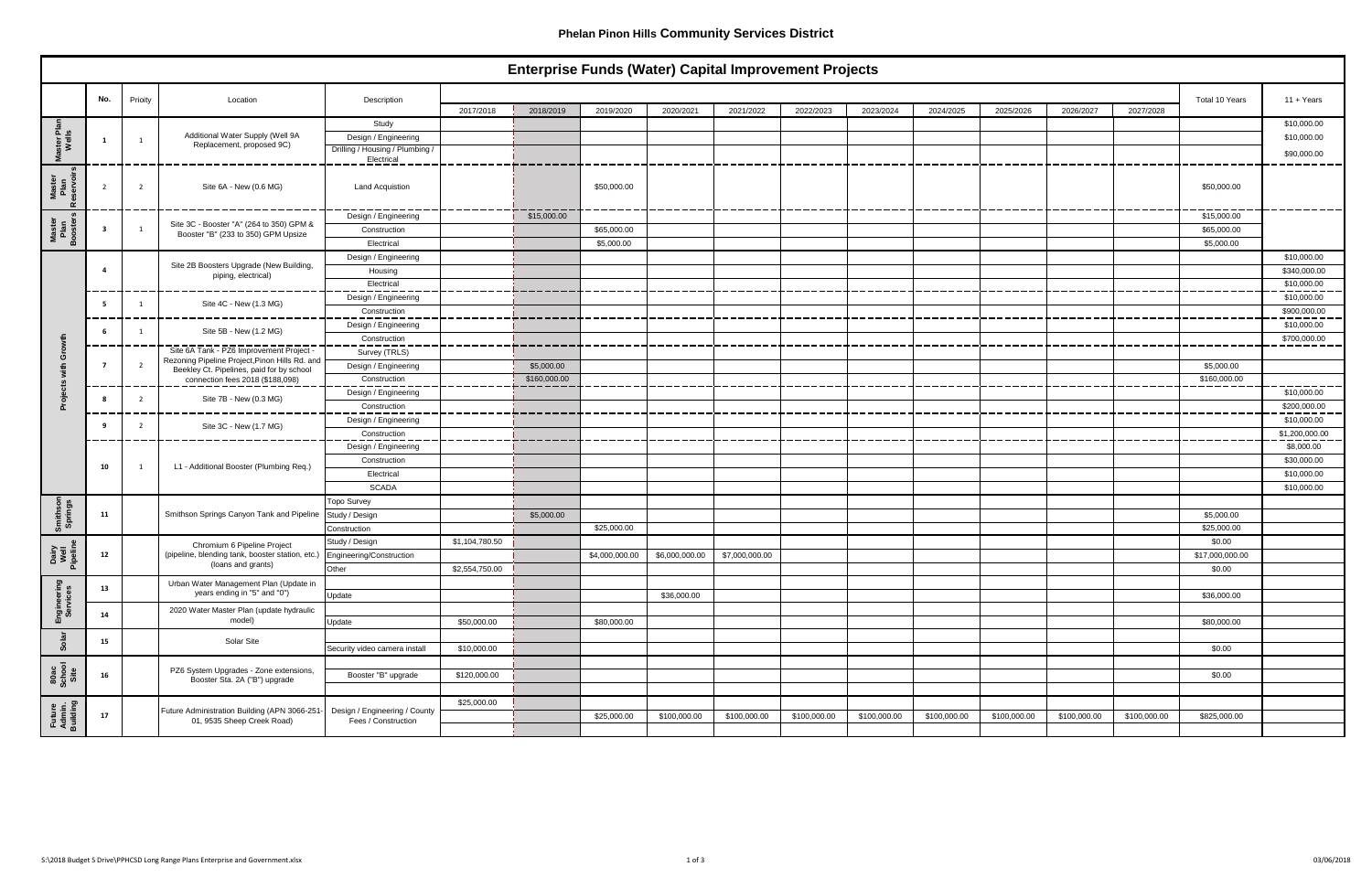|                              | Enterprise Funds (Water) Capital Improvement Projects |         |                                                                                            |                                 |                |              |                |                |                |              |              |              |              |              |              |                 |                |
|------------------------------|-------------------------------------------------------|---------|--------------------------------------------------------------------------------------------|---------------------------------|----------------|--------------|----------------|----------------|----------------|--------------|--------------|--------------|--------------|--------------|--------------|-----------------|----------------|
|                              |                                                       |         |                                                                                            |                                 |                |              |                |                |                |              |              |              |              |              |              |                 |                |
|                              | No.                                                   | Prioity | Location                                                                                   | Description                     | 2017/2018      | 2018/2019    | 2019/2020      | 2020/2021      | 2021/2022      | 2022/2023    | 2023/2024    | 2024/2025    | 2025/2026    | 2026/2027    | 2027/2028    | Total 10 Years  | $11 + Years$   |
|                              |                                                       |         |                                                                                            | Study                           |                |              |                |                |                |              |              |              |              |              |              |                 | \$10,000.00    |
| ়ই ≝                         |                                                       |         | Additional Water Supply (Well 9A                                                           | Design / Engineering            |                |              |                |                |                |              |              |              |              |              |              |                 | \$10,000.00    |
| ster<br>Wel                  |                                                       |         | Replacement, proposed 9C)                                                                  | Drilling / Housing / Plumbing / |                |              |                |                |                |              |              |              |              |              |              |                 |                |
|                              |                                                       |         |                                                                                            | Electrical                      |                |              |                |                |                |              |              |              |              |              |              |                 | \$90,000.00    |
| Master<br>Plan<br>eservoi    |                                                       | 2       | Site 6A - New (0.6 MG)                                                                     | <b>Land Acquistion</b>          |                |              | \$50,000.00    |                |                |              |              |              |              |              |              | \$50,000.00     |                |
|                              |                                                       |         |                                                                                            | Design / Engineering            |                | \$15,000.00  |                |                |                |              |              |              |              |              |              | \$15,000.00     |                |
| Master<br>Plan<br>Booster    | -3                                                    |         | Site 3C - Booster "A" (264 to 350) GPM &<br>Booster "B" (233 to 350) GPM Upsize            | Construction                    |                |              | \$65,000.00    |                |                |              |              |              |              |              |              | \$65,000.00     |                |
|                              |                                                       |         |                                                                                            | Electrical                      |                |              | \$5,000.00     |                |                |              |              |              |              |              |              | \$5,000.00      |                |
|                              |                                                       |         |                                                                                            | Design / Engineering            |                |              |                |                |                |              |              |              |              |              |              |                 | \$10,000.00    |
|                              | -4                                                    |         | Site 2B Boosters Upgrade (New Building,<br>piping, electrical)                             | Housing                         |                |              |                |                |                |              |              |              |              |              |              |                 | \$340,000.00   |
|                              |                                                       |         |                                                                                            | Electrical                      |                |              |                |                |                |              |              |              |              |              |              |                 | \$10,000.00    |
|                              | - 5                                                   |         | Site 4C - New (1.3 MG)                                                                     | Design / Engineering            |                |              |                |                |                |              |              |              |              |              |              |                 | \$10,000.00    |
|                              |                                                       |         |                                                                                            | Construction                    |                |              |                |                |                |              |              |              |              |              |              |                 | \$900,000.00   |
|                              | -6                                                    |         | Site 5B - New (1.2 MG)                                                                     | Design / Engineering            |                |              |                |                |                |              |              |              |              |              |              |                 | \$10,000.00    |
|                              |                                                       |         |                                                                                            | Construction                    |                |              |                |                |                |              |              |              |              |              |              |                 | \$700,000.00   |
|                              |                                                       |         | Site 6A Tank - PZ6 Improvement Project -<br>Rezoning Pipeline Project, Pinon Hills Rd. and | Survey (TRLS)                   |                |              |                |                |                |              |              |              |              |              |              |                 |                |
|                              |                                                       |         | Beekley Ct. Pipelines, paid for by school                                                  | Design / Engineering            |                | \$5,000.00   |                |                |                |              |              |              |              |              |              | \$5,000.00      |                |
|                              |                                                       |         | connection fees 2018 (\$188,098)                                                           | Construction                    |                | \$160,000.00 |                |                |                |              |              |              |              |              |              | \$160,000.00    |                |
|                              | -8                                                    |         | Site 7B - New (0.3 MG)                                                                     | Design / Engineering            |                |              |                |                |                |              |              |              |              |              |              |                 | \$10,000.00    |
|                              |                                                       |         |                                                                                            | Construction                    |                |              |                |                |                |              |              |              |              |              |              |                 | \$200,000.00   |
|                              | - 9                                                   |         | Site 3C - New (1.7 MG)                                                                     | Design / Engineering            |                |              |                |                |                |              |              |              |              |              |              |                 | \$10,000.00    |
|                              |                                                       |         |                                                                                            | Construction                    |                |              |                |                |                |              |              |              |              |              |              |                 | \$1,200,000.00 |
|                              |                                                       |         | L1 - Additional Booster (Plumbing Req.)                                                    | Design / Engineering            |                |              |                |                |                |              |              |              |              |              |              |                 | \$8,000.00     |
|                              | 10                                                    |         |                                                                                            | Construction                    |                |              |                |                |                |              |              |              |              |              |              |                 | \$30,000.00    |
|                              |                                                       |         |                                                                                            | Electrical                      |                |              |                |                |                |              |              |              |              |              |              |                 | \$10,000.00    |
|                              |                                                       |         |                                                                                            | SCADA                           |                |              |                |                |                |              |              |              |              |              |              |                 | \$10,000.00    |
| Smithson<br>Springs          |                                                       |         |                                                                                            | <b>Topo Survey</b>              |                |              |                |                |                |              |              |              |              |              |              |                 |                |
|                              | 11                                                    |         | Smithson Springs Canyon Tank and Pipeline                                                  | Study / Design                  |                | \$5,000.00   |                |                |                |              |              |              |              |              |              | \$5,000.00      |                |
|                              |                                                       |         |                                                                                            | Construction                    |                |              | \$25,000.00    |                |                |              |              |              |              |              |              | \$25,000.00     |                |
|                              |                                                       |         | Chromium 6 Pipeline Project                                                                | Study / Design                  | \$1,104,780.50 |              |                |                |                |              |              |              |              |              |              | \$0.00          |                |
| nairy<br>Well<br>Vipelin     | 12                                                    |         | (pipeline, blending tank, booster station, etc.)<br>(loans and grants)                     | Engineering/Construction        |                |              | \$4,000,000.00 | \$6,000,000.00 | \$7,000,000.00 |              |              |              |              |              |              | \$17,000,000.00 |                |
|                              |                                                       |         |                                                                                            | Other                           | \$2,554,750.00 |              |                |                |                |              |              |              |              |              |              | \$0.00          |                |
| Engineering<br>Services      | 13                                                    |         | Urban Water Management Plan (Update in<br>years ending in "5" and "0")                     |                                 |                |              |                |                |                |              |              |              |              |              |              |                 |                |
|                              |                                                       |         |                                                                                            | Update                          |                |              |                | \$36,000.00    |                |              |              |              |              |              |              | \$36,000.00     |                |
|                              | 14                                                    |         | 2020 Water Master Plan (update hydraulic<br>model)                                         |                                 |                |              |                |                |                |              |              |              |              |              |              |                 |                |
|                              |                                                       |         |                                                                                            | Update                          | \$50,000.00    |              | \$80,000.00    |                |                |              |              |              |              |              |              | \$80,000.00     |                |
| Solar                        | 15                                                    |         | Solar Site                                                                                 | Security video camera install   | \$10,000.00    |              |                |                |                |              |              |              |              |              |              | \$0.00          |                |
|                              |                                                       |         |                                                                                            |                                 |                |              |                |                |                |              |              |              |              |              |              |                 |                |
| 80ac<br>School<br>Site       | 16                                                    |         | PZ6 System Upgrades - Zone extensions,<br>Booster Sta. 2A ("B") upgrade                    | Booster "B" upgrade             | \$120,000.00   |              |                |                |                |              |              |              |              |              |              | \$0.00          |                |
|                              |                                                       |         |                                                                                            |                                 | \$25,000.00    |              |                |                |                |              |              |              |              |              |              |                 |                |
|                              | 17                                                    |         | Future Administration Building (APN 3066-251- Design / Engineering / County                | Fees / Construction             |                |              | \$25,000.00    | \$100,000.00   | \$100,000.00   | \$100,000.00 | \$100,000.00 | \$100,000.00 | \$100,000.00 | \$100,000.00 | \$100,000.00 | \$825,000.00    |                |
| Future<br>Admin.<br>Building |                                                       |         | 01, 9535 Sheep Creek Road)                                                                 |                                 |                |              |                |                |                |              |              |              |              |              |              |                 |                |

 $\blacksquare$ 

## **Enterprise Funds (Water) Capital Improvement Projects**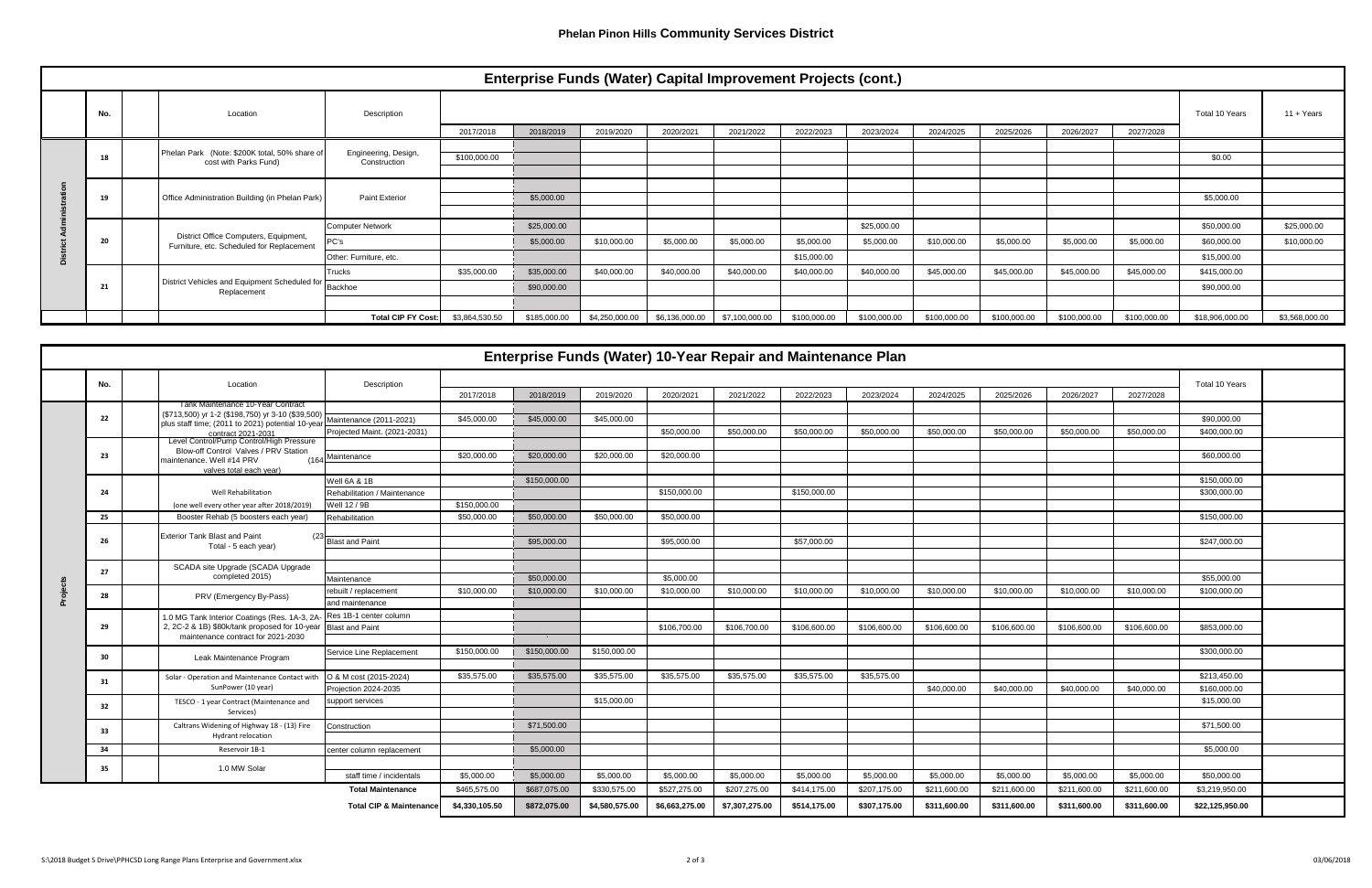|  | <b>Enterprise Funds (Water) Capital Improvement Projects (cont.)</b> |  |                                                                                    |                           |                |              |                |                |                |              |              |              |              |              |              |                 |                |
|--|----------------------------------------------------------------------|--|------------------------------------------------------------------------------------|---------------------------|----------------|--------------|----------------|----------------|----------------|--------------|--------------|--------------|--------------|--------------|--------------|-----------------|----------------|
|  | No.                                                                  |  | Location                                                                           | Description               |                |              | Total 10 Years | $11 + Years$   |                |              |              |              |              |              |              |                 |                |
|  |                                                                      |  |                                                                                    |                           | 2017/2018      | 2018/2019    | 2019/2020      | 2020/2021      | 2021/2022      | 2022/2023    | 2023/2024    | 2024/2025    | 2025/2026    | 2026/2027    | 2027/2028    |                 |                |
|  | 18                                                                   |  | Phelan Park (Note: \$200K total, 50% share of                                      | Engineering, Design,      | \$100,000.00   |              |                |                |                |              |              |              |              |              |              | \$0.00          |                |
|  |                                                                      |  | cost with Parks Fund)                                                              | Construction              |                |              |                |                |                |              |              |              |              |              |              |                 |                |
|  |                                                                      |  |                                                                                    |                           |                |              |                |                |                |              |              |              |              |              |              |                 |                |
|  | 19                                                                   |  | Office Administration Building (in Phelan Park)                                    | <b>Paint Exterior</b>     |                | \$5,000.00   |                |                |                |              |              |              |              |              |              | \$5,000.00      |                |
|  |                                                                      |  |                                                                                    |                           |                |              |                |                |                |              |              |              |              |              |              |                 |                |
|  |                                                                      |  | District Office Computers, Equipment,<br>Furniture, etc. Scheduled for Replacement | <b>Computer Network</b>   |                | \$25,000.00  |                |                |                |              | \$25,000.00  |              |              |              |              | \$50,000.00     | \$25,000.00    |
|  | 20                                                                   |  |                                                                                    | PC's                      |                | \$5,000.00   | \$10,000.00    | \$5,000.00     | \$5,000.00     | \$5,000.00   | \$5,000.00   | \$10,000.00  | \$5,000.00   | \$5,000.00   | \$5,000.00   | \$60,000.00     | \$10,000.00    |
|  |                                                                      |  |                                                                                    | Other: Furniture, etc.    |                |              |                |                |                | \$15,000.00  |              |              |              |              |              | \$15,000.00     |                |
|  |                                                                      |  | District Vehicles and Equipment Scheduled for<br>Replacement                       | Trucks                    | \$35,000.00    | \$35,000.00  | \$40,000.00    | \$40,000.00    | \$40,000.00    | \$40,000.00  | \$40,000.00  | \$45,000.00  | \$45,000.00  | \$45,000.00  | \$45,000.00  | \$415,000.00    |                |
|  | 21                                                                   |  |                                                                                    | <b>Backhoe</b>            |                | \$90,000.00  |                |                |                |              |              |              |              |              |              | \$90,000.00     |                |
|  |                                                                      |  |                                                                                    |                           |                |              |                |                |                |              |              |              |              |              |              |                 |                |
|  |                                                                      |  |                                                                                    | <b>Total CIP FY Cost:</b> | \$3,864,530.50 | \$185,000.00 | \$4,250,000.00 | \$6,136,000.00 | \$7,100,000.00 | \$100,000.00 | \$100,000.00 | \$100,000.00 | \$100,000.00 | \$100,000.00 | \$100,000.00 | \$18,906,000.00 | \$3,568,000.00 |

| <b>Enterprise Funds (Water) 10-Year Repair and Maintenance Plan</b> |     |                                                                                        |                                    |                |              |                |                |                |              |              |              |              |                |              |                 |  |
|---------------------------------------------------------------------|-----|----------------------------------------------------------------------------------------|------------------------------------|----------------|--------------|----------------|----------------|----------------|--------------|--------------|--------------|--------------|----------------|--------------|-----------------|--|
|                                                                     | No. | Location                                                                               | Description                        |                |              |                |                |                |              |              |              |              |                |              | Total 10 Years  |  |
|                                                                     |     |                                                                                        |                                    | 2017/2018      | 2018/2019    | 2019/2020      | 2020/2021      | 2021/2022      | 2022/2023    | 2023/2024    | 2024/2025    | 2025/2026    | 2026/2027      | 2027/2028    |                 |  |
|                                                                     |     | Tank Maintenance 10-Year Contract<br>(\$713,500) yr 1-2 (\$198,750) yr 3-10 (\$39,500) |                                    |                |              |                |                |                |              |              |              |              |                |              |                 |  |
|                                                                     | 22  | plus staff time; (2011 to 2021) potential 10-yea                                       | Maintenance (2011-2021)            | \$45,000.00    | \$45,000.00  | \$45,000.00    |                |                |              |              |              |              |                |              | \$90,000.00     |  |
|                                                                     |     | contract 2021-2031<br>Level Control/Pump Control/High Pressure                         | Projected Maint. (2021-2031)       |                |              |                | \$50,000.00    | \$50,000.00    | \$50,000.00  | \$50,000.00  | \$50,000.00  | \$50,000.00  | \$50,000.00    | \$50,000.00  | \$400,000.00    |  |
|                                                                     | 23  | Blow-off Control Valves / PRV Station                                                  | Maintenance                        | \$20,000.00    | \$20,000.00  | \$20,000.00    | \$20,000.00    |                |              |              |              |              |                |              | \$60,000.00     |  |
|                                                                     |     | naintenance. Well #14 PRV<br>$(16 -$<br>valves total each vear)                        |                                    |                |              |                |                |                |              |              |              |              |                |              |                 |  |
|                                                                     |     |                                                                                        | Well 6A & 1B                       |                | \$150,000.00 |                |                |                |              |              |              |              |                |              | \$150,000.00    |  |
|                                                                     | 24  | Well Rehabilitation                                                                    | Rehabilitation / Maintenance       |                |              |                | \$150,000.00   |                | \$150,000.00 |              |              |              |                |              | \$300,000.00    |  |
|                                                                     |     | (one well every other year after 2018/2019)                                            | Vell 12 / 9B                       | \$150,000.00   |              |                |                |                |              |              |              |              |                |              |                 |  |
|                                                                     | 25  | Booster Rehab (5 boosters each year)                                                   | Rehabilitation                     | \$50,000.00    | \$50,000.00  | \$50,000.00    | \$50,000.00    |                |              |              |              |              |                |              | \$150,000.00    |  |
|                                                                     |     | <b>Exterior Tank Blast and Paint</b>                                                   |                                    |                |              |                |                |                |              |              |              |              |                |              |                 |  |
|                                                                     | 26  | Total - 5 each year)                                                                   | <b>Blast and Paint</b>             |                | \$95,000.00  |                | \$95,000.00    |                | \$57,000.00  |              |              |              |                |              | \$247,000.00    |  |
|                                                                     |     |                                                                                        |                                    |                |              |                |                |                |              |              |              |              |                |              |                 |  |
|                                                                     | 27  | SCADA site Upgrade (SCADA Upgrade<br>completed 2015)                                   | Maintenance                        |                | \$50,000.00  |                | \$5,000.00     |                |              |              |              |              |                |              | \$55,000.00     |  |
|                                                                     |     |                                                                                        | rebuilt / replacement              | \$10,000.00    | \$10,000.00  | \$10,000.00    | \$10,000.00    | \$10,000.00    | \$10,000.00  | \$10,000.00  | \$10,000.00  | \$10,000.00  | \$10,000.00    | \$10,000.00  | \$100,000.00    |  |
| eja'                                                                | 28  | PRV (Emergency By-Pass)                                                                | and maintenance                    |                |              |                |                |                |              |              |              |              |                |              |                 |  |
|                                                                     |     | 1.0 MG Tank Interior Coatings (Res. 1A-3, 2A-                                          | Res 1B-1 center column             |                |              |                |                |                |              |              |              |              |                |              |                 |  |
|                                                                     | 29  | 2, 2C-2 & 1B) \$80k/tank proposed for 10-year Blast and Paint                          |                                    |                |              |                | \$106,700.00   | \$106,700.00   | \$106,600.00 | \$106,600.00 | \$106,600.00 | \$106,600.00 | \$106,600.00   | \$106,600.00 | \$853,000.00    |  |
|                                                                     |     | maintenance contract for 2021-2030                                                     |                                    |                | <b>SALE</b>  |                |                |                |              |              |              |              |                |              |                 |  |
|                                                                     | 30  | Leak Maintenance Program                                                               | Service Line Replacement           | \$150,000.00   | \$150,000.00 | \$150,000.00   |                |                |              |              |              |              |                |              | \$300,000.00    |  |
|                                                                     |     |                                                                                        |                                    |                |              |                |                |                |              |              |              |              |                |              |                 |  |
|                                                                     | 31  | Solar - Operation and Maintenance Contact with                                         | O & M cost (2015-2024)             | \$35,575.00    | \$35,575.00  | \$35,575.00    | \$35,575.00    | \$35,575.00    | \$35,575.00  | \$35,575.00  |              |              |                |              | \$213,450.00    |  |
|                                                                     |     | SunPower (10 year)                                                                     | Projection 2024-2035               |                |              |                |                |                |              |              | \$40,000.00  | \$40,000.00  | \$40,000.00    | \$40,000.00  | \$160,000.00    |  |
|                                                                     | 32  | TESCO - 1 year Contract (Maintenance and<br>Services)                                  | support services                   |                |              | \$15,000.00    |                |                |              |              |              |              |                |              | \$15,000.00     |  |
|                                                                     |     | Caltrans Widening of Highway 18 - (13) Fire                                            | Construction                       |                | \$71.500.00  |                |                |                |              |              |              |              |                |              | \$71,500.00     |  |
|                                                                     | -33 | Hydrant relocation                                                                     |                                    |                |              |                |                |                |              |              |              |              |                |              |                 |  |
|                                                                     | 34  | Reservoir 1B-1                                                                         | center column replacement          |                | \$5,000.00   |                |                |                |              |              |              |              |                |              | \$5,000.00      |  |
|                                                                     | 35  | 1.0 MW Solar                                                                           |                                    |                |              |                |                |                |              |              |              |              |                |              |                 |  |
|                                                                     |     |                                                                                        | staff time / incidentals           | \$5,000.00     | \$5,000.00   | \$5,000.00     | \$5,000.00     | \$5,000.00     | \$5,000.00   | \$5,000.00   | \$5,000.00   | \$5,000.00   | \$5,000.00     | \$5,000.00   | \$50,000.00     |  |
|                                                                     |     |                                                                                        | \$687,075.00                       | \$330,575.00   | \$527,275.00 | \$207,275.00   | \$414,175.00   | \$207,175.00   | \$211,600.00 | \$211,600.00 | \$211,600.00 | \$211,600.00 | \$3,219,950.00 |              |                 |  |
|                                                                     |     |                                                                                        | <b>Total CIP &amp; Maintenance</b> | \$4,330,105.50 | \$872,075.00 | \$4,580,575.00 | \$6,663,275.00 | \$7,307,275.00 | \$514,175.00 | \$307,175.00 | \$311,600.00 | \$311,600.00 | \$311,600.00   | \$311,600.00 | \$22,125,950.00 |  |